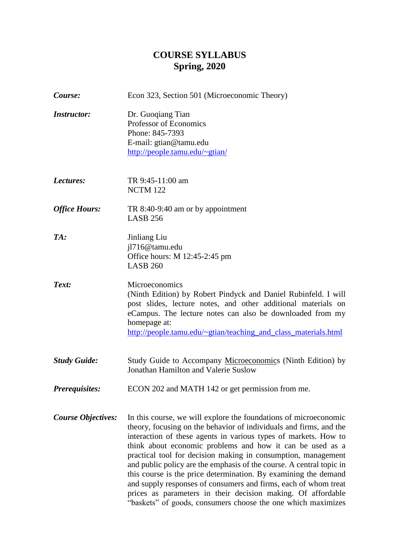# **COURSE SYLLABUS Spring, 2020**

| Course:                   | Econ 323, Section 501 (Microeconomic Theory)                                                                                                                                                                                                                                                                                                                                                                                                                                                                                                                                                                                                                                          |
|---------------------------|---------------------------------------------------------------------------------------------------------------------------------------------------------------------------------------------------------------------------------------------------------------------------------------------------------------------------------------------------------------------------------------------------------------------------------------------------------------------------------------------------------------------------------------------------------------------------------------------------------------------------------------------------------------------------------------|
| <b>Instructor:</b>        | Dr. Guoqiang Tian<br>Professor of Economics<br>Phone: 845-7393<br>E-mail: gtian@tamu.edu<br>http://people.tamu.edu/~gtian/                                                                                                                                                                                                                                                                                                                                                                                                                                                                                                                                                            |
| Lectures:                 | TR 9:45-11:00 am<br><b>NCTM 122</b>                                                                                                                                                                                                                                                                                                                                                                                                                                                                                                                                                                                                                                                   |
| <b>Office Hours:</b>      | TR 8:40-9:40 am or by appointment<br><b>LASB 256</b>                                                                                                                                                                                                                                                                                                                                                                                                                                                                                                                                                                                                                                  |
| TA:                       | Jinliang Liu<br>jl716@tamu.edu<br>Office hours: M 12:45-2:45 pm<br><b>LASB 260</b>                                                                                                                                                                                                                                                                                                                                                                                                                                                                                                                                                                                                    |
| Text:                     | Microeconomics<br>(Ninth Edition) by Robert Pindyck and Daniel Rubinfeld. I will<br>post slides, lecture notes, and other additional materials on<br>eCampus. The lecture notes can also be downloaded from my<br>homepage at:<br>http://people.tamu.edu/~gtian/teaching_and_class_materials.html                                                                                                                                                                                                                                                                                                                                                                                     |
| <b>Study Guide:</b>       | Study Guide to Accompany Microeconomics (Ninth Edition) by<br>Jonathan Hamilton and Valerie Suslow                                                                                                                                                                                                                                                                                                                                                                                                                                                                                                                                                                                    |
| <b>Prerequisites:</b>     | ECON 202 and MATH 142 or get permission from me.                                                                                                                                                                                                                                                                                                                                                                                                                                                                                                                                                                                                                                      |
| <b>Course Objectives:</b> | In this course, we will explore the foundations of microeconomic<br>theory, focusing on the behavior of individuals and firms, and the<br>interaction of these agents in various types of markets. How to<br>think about economic problems and how it can be used as a<br>practical tool for decision making in consumption, management<br>and public policy are the emphasis of the course. A central topic in<br>this course is the price determination. By examining the demand<br>and supply responses of consumers and firms, each of whom treat<br>prices as parameters in their decision making. Of affordable<br>"baskets" of goods, consumers choose the one which maximizes |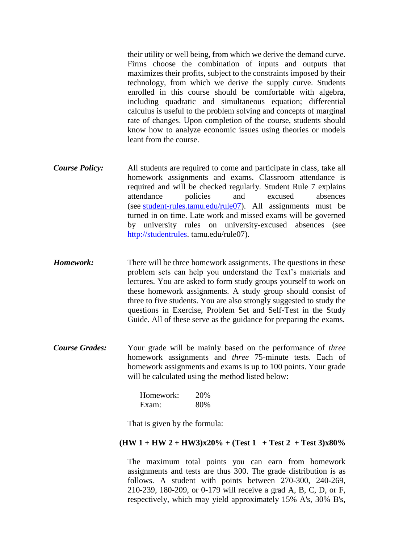their utility or well being, from which we derive the demand curve. Firms choose the combination of inputs and outputs that maximizes their profits, subject to the constraints imposed by their technology, from which we derive the supply curve. Students enrolled in this course should be comfortable with algebra, including quadratic and simultaneous equation; differential calculus is useful to the problem solving and concepts of marginal rate of changes. Upon completion of the course, students should know how to analyze economic issues using theories or models leant from the course.

- *Course Policy:* All students are required to come and participate in class, take all homework assignments and exams. Classroom attendance is required and will be checked regularly. Student Rule 7 explains attendance policies and excused absences (see [student-rules.tamu.edu/rule07\)](http://trk.tamu.edu/trk/click?ref=ztotana6v_2-5f3ax31e0fx02450&). All assignments must be turned in on time. Late work and missed exams will be governed by university rules on university-excused absences (see [http://studentrules.](http://studentrules/) tamu.edu/rule07).
- *Homework:* There will be three homework assignments. The questions in these problem sets can help you understand the Text's materials and lectures. You are asked to form study groups yourself to work on these homework assignments. A study group should consist of three to five students. You are also strongly suggested to study the questions in Exercise, Problem Set and Self-Test in the Study Guide. All of these serve as the guidance for preparing the exams.
- *Course Grades:* Your grade will be mainly based on the performance of *three* homework assignments and *three* 75-minute tests. Each of homework assignments and exams is up to 100 points. Your grade will be calculated using the method listed below:

| Homework: | 20% |
|-----------|-----|
| Exam:     | 80% |

That is given by the formula:

#### $(HW 1 + HW 2 + HW3)x20% + (Test 1 + Test 2 + Test 3)x80%$

The maximum total points you can earn from homework assignments and tests are thus 300. The grade distribution is as follows. A student with points between 270-300, 240-269, 210-239, 180-209, or 0-179 will receive a grad A, B, C, D, or F, respectively, which may yield approximately 15% A's, 30% B's,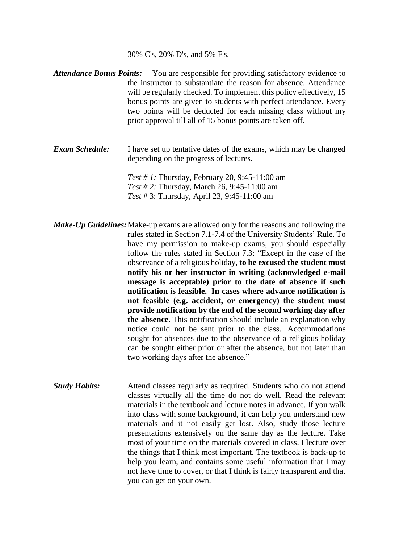30% C's, 20% D's, and 5% F's.

- *Attendance Bonus Points:* You are responsible for providing satisfactory evidence to the instructor to substantiate the reason for absence. Attendance will be regularly checked. To implement this policy effectively, 15 bonus points are given to students with perfect attendance. Every two points will be deducted for each missing class without my prior approval till all of 15 bonus points are taken off.
- *Exam Schedule:* I have set up tentative dates of the exams, which may be changed depending on the progress of lectures.

*Test # 1:* Thursday, February 20, 9:45-11:00 am *Test # 2:* Thursday, March 26, 9:45-11:00 am *Test* # 3: Thursday, April 23, 9:45-11:00 am

*Make-Up Guidelines:*Make-up exams are allowed only for the reasons and following the rules stated in Section 7.1-7.4 of the University Students' Rule. To have my permission to make-up exams, you should especially follow the rules stated in Section 7.3: "Except in the case of the observance of a religious holiday, **to be excused the student must notify his or her instructor in writing (acknowledged e-mail message is acceptable) prior to the date of absence if such notification is feasible. In cases where advance notification is not feasible (e.g. accident, or emergency) the student must provide notification by the end of the second working day after the absence.** This notification should include an explanation why notice could not be sent prior to the class. Accommodations sought for absences due to the observance of a religious holiday can be sought either prior or after the absence, but not later than two working days after the absence."

*Study Habits:* Attend classes regularly as required. Students who do not attend classes virtually all the time do not do well. Read the relevant materials in the textbook and lecture notes in advance. If you walk into class with some background, it can help you understand new materials and it not easily get lost. Also, study those lecture presentations extensively on the same day as the lecture. Take most of your time on the materials covered in class. I lecture over the things that I think most important. The textbook is back-up to help you learn, and contains some useful information that I may not have time to cover, or that I think is fairly transparent and that you can get on your own.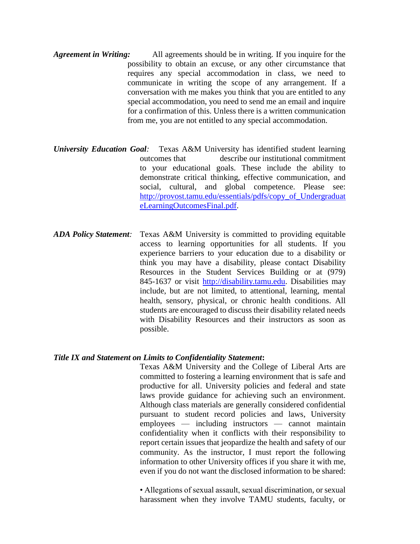- *Agreement in Writing:* All agreements should be in writing. If you inquire for the possibility to obtain an excuse, or any other circumstance that requires any special accommodation in class, we need to communicate in writing the scope of any arrangement. If a conversation with me makes you think that you are entitled to any special accommodation, you need to send me an email and inquire for a confirmation of this. Unless there is a written communication from me, you are not entitled to any special accommodation.
- *University Education Goal:* Texas A&M University has identified student learning outcomes that describe our institutional commitment to your educational goals. These include the ability to demonstrate critical thinking, effective communication, and social, cultural, and global competence. Please see: [http://provost.tamu.edu/essentials/pdfs/copy\\_of\\_Undergraduat](http://provost.tamu.edu/essentials/pdfs/copy_of_UndergraduateLearningOutcomesFinal.pdf) [eLearningOutcomesFinal.pdf.](http://provost.tamu.edu/essentials/pdfs/copy_of_UndergraduateLearningOutcomesFinal.pdf)
- *ADA Policy Statement:* Texas A&M University is committed to providing equitable access to learning opportunities for all students. If you experience barriers to your education due to a disability or think you may have a disability, please contact Disability Resources in the Student Services Building or at (979) 845-1637 or visit [http://disability.tamu.edu.](http://disability.tamu.edu/) Disabilities may include, but are not limited, to attentional, learning, mental health, sensory, physical, or chronic health conditions. All students are encouraged to discuss their disability related needs with Disability Resources and their instructors as soon as possible.

#### *Title IX and Statement on Limits to Confidentiality Statement***:**

Texas A&M University and the College of Liberal Arts are committed to fostering a learning environment that is safe and productive for all. University policies and federal and state laws provide guidance for achieving such an environment. Although class materials are generally considered confidential pursuant to student record policies and laws, University employees — including instructors — cannot maintain confidentiality when it conflicts with their responsibility to report certain issues that jeopardize the health and safety of our community. As the instructor, I must report the following information to other University offices if you share it with me, even if you do not want the disclosed information to be shared:

• Allegations of sexual assault, sexual discrimination, or sexual harassment when they involve TAMU students, faculty, or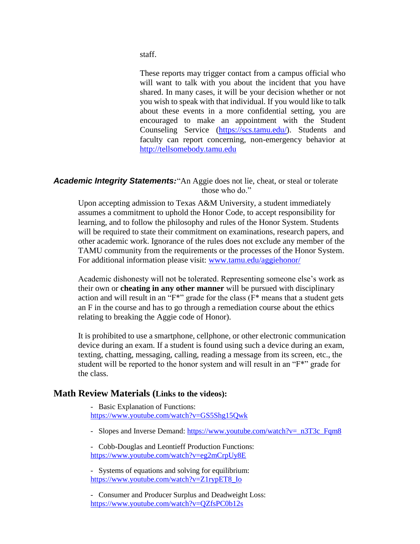staff.

These reports may trigger contact from a campus official who will want to talk with you about the incident that you have shared. In many cases, it will be your decision whether or not you wish to speak with that individual. If you would like to talk about these events in a more confidential setting, you are encouraged to make an appointment with the Student Counseling Service [\(https://scs.tamu.edu/\)](https://scs.tamu.edu/). Students and faculty can report concerning, non-emergency behavior at [http://tellsomebody.tamu.edu](http://tellsomebody.tamu.edu/)

#### *Academic Integrity Statements:*"An Aggie does not lie, cheat, or steal or tolerate those who do."

Upon accepting admission to Texas A&M University, a student immediately assumes a commitment to uphold the Honor Code, to accept responsibility for learning, and to follow the philosophy and rules of the Honor System. Students will be required to state their commitment on examinations, research papers, and other academic work. Ignorance of the rules does not exclude any member of the TAMU community from the requirements or the processes of the Honor System. For additional information please visit: [www.tamu.edu/aggiehonor/](http://www.tamu.edu/aggiehonor/)

Academic dishonesty will not be tolerated. Representing someone else's work as their own or **cheating in any other manner** will be pursued with disciplinary action and will result in an "F\*" grade for the class (F\* means that a student gets an F in the course and has to go through a remediation course about the ethics relating to breaking the Aggie code of Honor).

It is prohibited to use a smartphone, cellphone, or other electronic communication device during an exam. If a student is found using such a device during an exam, texting, chatting, messaging, calling, reading a message from its screen, etc., the student will be reported to the honor system and will result in an "F\*" grade for the class.

#### **Math Review Materials (Links to the videos):**

- Basic Explanation of Functions: [https://www.youtube.com/watch?v=GS5Shg15Qwk](https://urldefense.proofpoint.com/v2/url?u=https-3A__www.youtube.com_watch-3Fv-3DGS5Shg15Qwk&d=DwMFAg&c=u6LDEWzohnDQ01ySGnxMzg&r=uHVYcleXLi3AfzrpFXUdn3SgjsPtnYsqxZgFXwqunY4&m=tisGBFtnFyvJ2mAG9qZWfahrBS5IWJtWR4k5AkxgU9Y&s=QoTCQHQttZ70VuRjlWb9wqiOPsDdYgb8kV4EIXiIc3g&e=)

- Slopes and Inverse Demand: [https://www.youtube.com/watch?v=\\_n3T3c\\_Fqm8](https://urldefense.proofpoint.com/v2/url?u=https-3A__www.youtube.com_watch-3Fv-3D-5Fn3T3c-5FFqm8&d=DwMFAg&c=u6LDEWzohnDQ01ySGnxMzg&r=uHVYcleXLi3AfzrpFXUdn3SgjsPtnYsqxZgFXwqunY4&m=tisGBFtnFyvJ2mAG9qZWfahrBS5IWJtWR4k5AkxgU9Y&s=Eeulp7gXRVM58oSI7Z3dqqjzazBCBDscSClsYPZjOsY&e=)

- Cobb-Douglas and Leontieff Production Functions: [https://www.youtube.com/watch?v=eg2mCrpUy8E](https://urldefense.proofpoint.com/v2/url?u=https-3A__www.youtube.com_watch-3Fv-3Deg2mCrpUy8E&d=DwMFaQ&c=u6LDEWzohnDQ01ySGnxMzg&r=keAPD088VOosGR3bnCW_Dg&m=Y-oEPXvzz08C_XIpT8hHEPJk8WQG0g4IYGWkLMvOAH8&s=Z2pd0H2X_68QPuFdJhN5DQjdCtVXekIkos32qb2SF-0&e=)

- Systems of equations and solving for equilibrium: [https://www.youtube.com/watch?v=Z1rypET8\\_Io](https://urldefense.proofpoint.com/v2/url?u=https-3A__www.youtube.com_watch-3Fv-3DZ1rypET8-5FIo&d=DwMFAg&c=u6LDEWzohnDQ01ySGnxMzg&r=uHVYcleXLi3AfzrpFXUdn3SgjsPtnYsqxZgFXwqunY4&m=tisGBFtnFyvJ2mAG9qZWfahrBS5IWJtWR4k5AkxgU9Y&s=4X7IQEWUprW1xGvIaa5ix-VOcvNiNROVxQ0PKVZcMns&e=)

- Consumer and Producer Surplus and Deadweight Loss: [https://www.youtube.com/watch?v=QZfsPC0b12s](https://urldefense.proofpoint.com/v2/url?u=https-3A__www.youtube.com_watch-3Fv-3DQZfsPC0b12s&d=DwMFAg&c=u6LDEWzohnDQ01ySGnxMzg&r=uHVYcleXLi3AfzrpFXUdn3SgjsPtnYsqxZgFXwqunY4&m=tisGBFtnFyvJ2mAG9qZWfahrBS5IWJtWR4k5AkxgU9Y&s=TN3Bgmh4IVndRM5gRHHYAkIUV9xEBZdQzaOfGocJ9-A&e=)